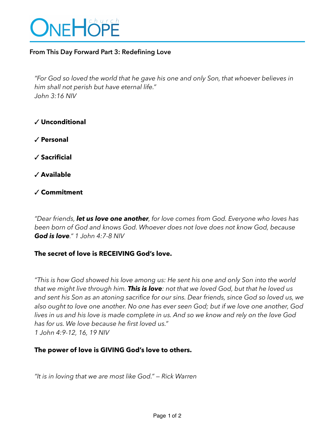

# **From This Day Forward Part 3: Redefining Love**

*"For God so loved the world that he gave his one and only Son, that whoever believes in him shall not perish but have eternal life." John 3:16 NIV*

- ✓ **Unconditional**
- ✓ **Personal**
- ✓ **Sacrificial**
- ✓ **Available**
- ✓ **Commitment**

*"Dear friends, let us love one another, for love comes from God. Everyone who loves has been born of God and knows God. Whoever does not love does not know God, because God is love." 1 John 4:7-8 NIV* 

### **The secret of love is RECEIVING God's love.**

*"This is how God showed his love among us: He sent his one and only Son into the world that we might live through him. This is love: not that we loved God, but that he loved us and sent his Son as an atoning sacrifice for our sins. Dear friends, since God so loved us, we also ought to love one another. No one has ever seen God; but if we love one another, God lives in us and his love is made complete in us. And so we know and rely on the love God has for us. We love because he first loved us." 1 John 4:9-12, 16, 19 NIV*

# **The power of love is GIVING God's love to others.**

*"It is in loving that we are most like God." — Rick Warren*